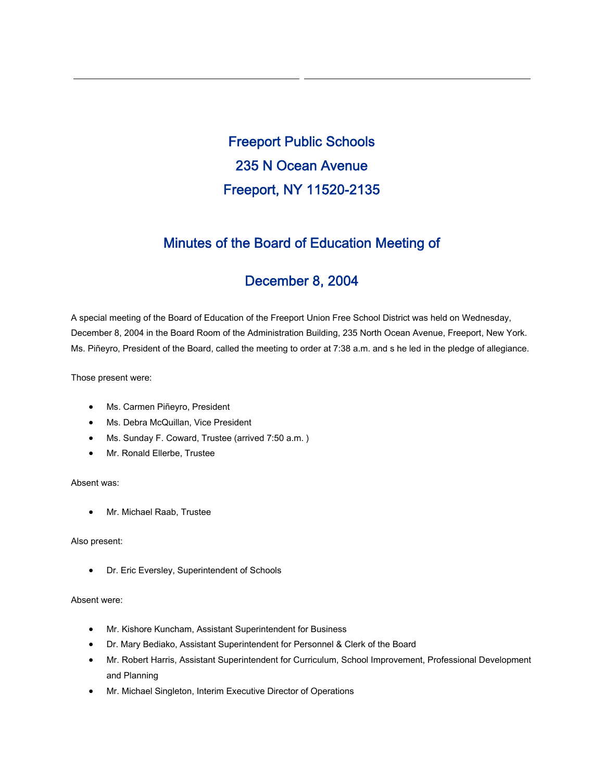Freeport Public Schools 235 N Ocean Avenue Freeport, NY 11520-2135

# Minutes of the Board of Education Meeting of

# December 8, 2004

A special meeting of the Board of Education of the Freeport Union Free School District was held on Wednesday, December 8, 2004 in the Board Room of the Administration Building, 235 North Ocean Avenue, Freeport, New York. Ms. Piñeyro, President of the Board, called the meeting to order at 7:38 a.m. and s he led in the pledge of allegiance.

Those present were:

- Ms. Carmen Piñeyro, President
- Ms. Debra McQuillan, Vice President
- Ms. Sunday F. Coward, Trustee (arrived 7:50 a.m. )
- Mr. Ronald Ellerbe, Trustee

## Absent was:

• Mr. Michael Raab, Trustee

#### Also present:

• Dr. Eric Eversley, Superintendent of Schools

#### Absent were:

- Mr. Kishore Kuncham, Assistant Superintendent for Business
- Dr. Mary Bediako, Assistant Superintendent for Personnel & Clerk of the Board
- Mr. Robert Harris, Assistant Superintendent for Curriculum, School Improvement, Professional Development and Planning
- Mr. Michael Singleton, Interim Executive Director of Operations